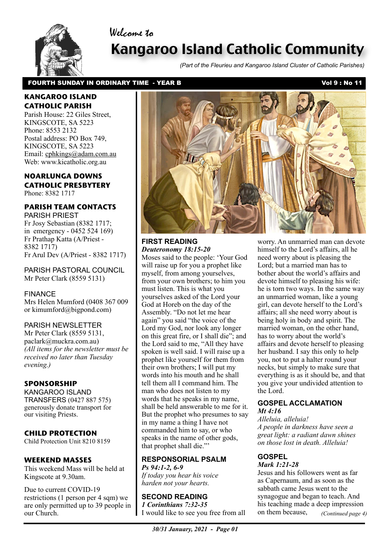Welcome to



# Kangaroo Island Catholic Community

*(Part of the Fleurieu and Kangaroo Island Cluster of Catholic Parishes)*

#### FOURTH SUNDAY IN ORDINARY TIME - YEAR B Vol 9 : No 11

#### **KANGAROO ISLAND CATHOLIC PARISH**

Parish House: 22 Giles Street, KINGSCOTE, SA 5223 Phone: 8553 2132 Postal address: PO Box 749, KINGSCOTE, SA 5223 Email: cphkings@adam.com.au Web: www.kicatholic.org.au

#### **NOARLUNGA DOWNS CATHOLIC PRESBYTERY** Phone: 8382 1717

#### **PARISH TEAM CONTACTS**

PARISH PRIEST Fr Josy Sebastian (8382 1717; in emergency - 0452 524 169) Fr Prathap Katta (A/Priest - 8382 1717) Fr Arul Dev (A/Priest - 8382 1717)

PARISH PASTORAL COUNCIL Mr Peter Clark (8559 5131)

#### FINANCE

Mrs Helen Mumford (0408 367 009 or kimumford@bigpond.com)

#### PARISH NEWSLETTER

Mr Peter Clark (8559 5131, paclark@muckra.com.au) *(All items for the newsletter must be received no later than Tuesday evening.)*

#### **SPONSORSHIP**

KANGAROO ISLAND TRANSFERS (0427 887 575) generously donate transport for our visiting Priests.

#### **CHILD PROTECTION**

Child Protection Unit 8210 8159

#### **WEEKEND MASSES**

This weekend Mass will be held at Kingscote at 9.30am.

Due to current COVID-19 restrictions (1 person per 4 sqm) we are only permitted up to 39 people in our Church.



#### **FIRST READING** *Deuteronomy 18:15-20*

Moses said to the people: 'Your God will raise up for you a prophet like myself, from among yourselves, from your own brothers; to him you must listen. This is what you yourselves asked of the Lord your God at Horeb on the day of the Assembly. "Do not let me hear again" you said "the voice of the Lord my God, nor look any longer on this great fire, or I shall die"; and the Lord said to me, "All they have spoken is well said. I will raise up a prophet like yourself for them from their own brothers; I will put my words into his mouth and he shall tell them all I command him. The man who does not listen to my words that he speaks in my name, shall be held answerable to me for it. But the prophet who presumes to say in my name a thing I have not commanded him to say, or who speaks in the name of other gods, that prophet shall die."'

## **RESPONSORIAL PSALM**

*Ps 94:1-2, 6-9 If today you hear his voice harden not your hearts.*

#### **SECOND READING**

I would like to see you free from all *1 Corinthians 7:32-35*

worry. An unmarried man can devote himself to the Lord's affairs, all he need worry about is pleasing the Lord; but a married man has to bother about the world's affairs and devote himself to pleasing his wife: he is torn two ways. In the same way an unmarried woman, like a young girl, can devote herself to the Lord's affairs; all she need worry about is being holy in body and spirit. The married woman, on the other hand, has to worry about the world's affairs and devote herself to pleasing her husband. I say this only to help you, not to put a halter round your necks, but simply to make sure that everything is as it should be, and that you give your undivided attention to the Lord.

#### **GOSPEL ACCLAMATION** *Mt 4:16*

*Alleluia, alleluia! A people in darkness have seen a great light: a radiant dawn shines on those lost in death. Alleluia!*

### **GOSPEL**

*Mark 1:21-28*

Jesus and his followers went as far as Capernaum, and as soon as the sabbath came Jesus went to the synagogue and began to teach. And his teaching made a deep impression on them because, *(Continued page 4)*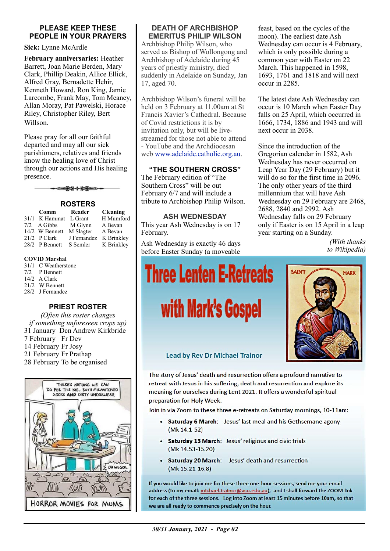#### **PLEASE KEEP THESE PEOPLE IN YOUR PRAYERS**

**Sick:** Lynne McArdle

**February anniversaries:** Heather Barrett, Joan Marie Berden, Mary Clark, Phillip Deakin, Allice Ellick, Alfred Gray, Bernadette Hehir, Kenneth Howard, Ron King, Jamie Larcombe, Frank May, Tom Meaney, Allan Moray, Pat Pawelski, Horace Riley, Christopher Riley, Bert Willson.

Please pray for all our faithful departed and may all our sick parishioners, relatives and friends know the healing love of Christ through our actions and His healing presence.



#### **ROSTERS Comm Reader Cleaning**

| Comm            | Reader      | Cleaning   |
|-----------------|-------------|------------|
| $31/1$ K Hammat | L Grant     | H Mumford  |
| $7/2$ A Gibbs   | M Glynn     | A Bevan    |
| 14/2 W Bennett  | M Slagter   | A Bevan    |
| $21/2$ P Clark  | J Fernandez | K Brinkley |
| 28/2 P Bennett  | S Semler    | K Brinkley |

#### **COVID Marshal**

| 31/1 C Weatherstone |
|---------------------|
| $7/2$ P Bennett     |
| 14/2 A Clark        |
| 21/2 W Bennett      |
| 28/2 J Fernandez    |
|                     |

#### **PRIEST ROSTER**

*(Often this roster changes if something unforeseen crops up)* 31 January Dcn Andrew Kirkbride 7 February Fr Dev 14 February Fr Josy 21 February Fr Prathap 28 February To be organised



#### **DEATH OF ARCHBISHOP EMERITUS PHILIP WILSON**

Archbishop Philip Wilson, who served as Bishop of Wollongong and Archbishop of Adelaide during 45 years of priestly ministry, died suddenly in Adelaide on Sunday, Jan 17, aged 70.

Archbishop Wilson's funeral will be held on 3 February at 11.00am at St Francis Xavier's Cathedral. Because of Covid restrictions it is by invitation only, but will be livestreamed for those not able to attend - YouTube and the Archdiocesan web [www.adelaide.catholic.org.au.](http://www.adelaide.catholic.org.au)

#### **"THE SOUTHERN CROSS"**

The February edition of "The Southern Cross" will be out February 6/7 and will include a tribute to Archbishop Philip Wilson.

#### **ASH WEDNESDAY**

This year Ash Wednesday is on 17 February.

Ash Wednesday is exactly 46 days before Easter Sunday (a moveable

feast, based on the cycles of the moon). The earliest date Ash Wednesday can occur is 4 February, which is only possible during a common year with Easter on 22 March. This happened in 1598, 1693, 1761 and 1818 and will next occur in 2285.

The latest date Ash Wednesday can occur is 10 March when Easter Day falls on 25 April, which occurred in 1666, 1734, 1886 and 1943 and will next occur in 2038.

Since the introduction of the Gregorian calendar in 1582, Ash Wednesday has never occurred on Leap Year Day (29 February) but it will do so for the first time in 2096. The only other years of the third millennium that will have Ash Wednesday on 29 February are 2468, 2688, 2840 and 2992. Ash Wednesday falls on 29 February only if Easter is on 15 April in a leap year starting on a Sunday.

*(With thanks to Wikipedia)*

# **Three Lenten E-Retreats**

with Mark's Gospel



#### **Lead by Rev Dr Michael Trainor**

The story of Jesus' death and resurrection offers a profound narrative to retreat with Jesus in his suffering, death and resurrection and explore its meaning for ourselves during Lent 2021. It offers a wonderful spiritual preparation for Holy Week.

Join in via Zoom to these three e-retreats on Saturday mornings, 10-11am:

- Saturday 6 March: Jesus' last meal and his Gethsemane agony (Mk 14.1-52)
- Saturday 13 March: Jesus' religious and civic trials (Mk 14.53-15.20)
- Saturday 20 March: Jesus' death and resurrection (Mk 15.21-16.8)

If you would like to join me for these three one-hour sessions, send me your email address (to my email: michael.trainor@acu.edu.au), and I shall forward the ZOOM link for each of the three sessions. Log into Zoom at least 15 minutes before 10am, so that we are all ready to commence precisely on the hour.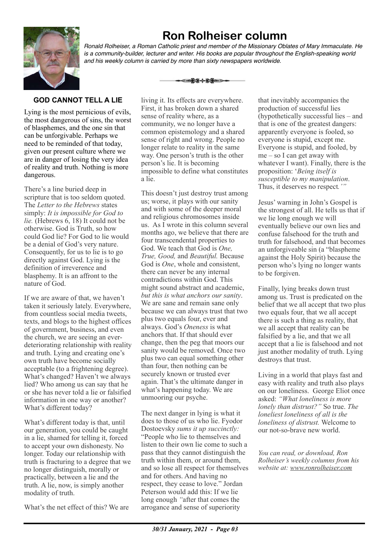# **Ron Rolheiser column**



*Ronald Rolheiser, a Roman Catholic priest and member of the Missionary Oblates of Mary Immaculate. He*  is a community-builder, lecturer and writer. His books are popular throughout the English-speaking world *and his weekly column is carried by more than sixty newspapers worldwide.*

#### **GOD CANNOT TELL A LIE**

Lying is the most pernicious of evils. the most dangerous of sins, the worst of blasphemes, and the one sin that can be unforgivable. Perhaps we need to be reminded of that today, given our present culture where we are in danger of losing the very idea of reality and truth. Nothing is more dangerous.

There's a line buried deep in scripture that is too seldom quoted. The *Letter to the Hebrews* states simply: *It is impossible for God to lie.* (Hebrews 6, 18) It could not be otherwise. God is Truth, so how could God lie? For God to lie would be a denial of God's very nature. Consequently, for us to lie is to go directly against God. Lying is the definition of irreverence and blasphemy. It is an affront to the nature of God.

If we are aware of that, we haven't taken it seriously lately. Everywhere, from countless social media tweets, texts, and blogs to the highest offices of government, business, and even the church, we are seeing an everdeteriorating relationship with reality and truth. Lying and creating one's own truth have become socially acceptable (to a frightening degree). What's changed? Haven't we always lied? Who among us can say that he or she has never told a lie or falsified information in one way or another? What's different today?

What's different today is that, until our generation, you could be caught in a lie, shamed for telling it, forced to accept your own dishonesty. No longer. Today our relationship with truth is fracturing to a degree that we no longer distinguish, morally or practically, between a lie and the truth. A lie, now, is simply another modality of truth.

What's the net effect of this? We are

living it. Its effects are everywhere. First, it has broken down a shared sense of reality where, as a community, we no longer have a common epistemology and a shared sense of right and wrong. People no longer relate to reality in the same way. One person's truth is the other person's lie. It is becoming impossible to define what constitutes a lie.

</u>

This doesn't just destroy trust among us; worse, it plays with our sanity and with some of the deeper moral and religious chromosomes inside us. As I wrote in this column several months ago, we believe that there are four transcendental properties to God. We teach that God is *One, True, Good,* and *Beautiful.* Because God is *One*, whole and consistent, there can never be any internal contradictions within God. This might sound abstract and academic, *but this is what anchors our sanity*. We are sane and remain sane only because we can always trust that two plus two equals four, ever and always. God's *Oneness* is what anchors that. If that should ever change, then the peg that moors our sanity would be removed. Once two plus two can equal something other than four, then nothing can be securely known or trusted ever again. That's the ultimate danger in what's happening today. We are unmooring our psyche.

The next danger in lying is what it does to those of us who lie. Fyodor Dostoevsky *sums it up succinctly:*  "People who lie to themselves and listen to their own lie come to such a pass that they cannot distinguish the truth within them, or around them, and so lose all respect for themselves and for others. And having no respect, they cease to love." Jordan Peterson would add this: If we lie long enough *"*after that comes the arrogance and sense of superiority

that inevitably accompanies the production of successful lies (hypothetically successful lies – and that is one of the greatest dangers: apparently everyone is fooled, so everyone is stupid, except me. Everyone is stupid, and fooled, by me – so I can get away with whatever I want). Finally, there is the proposition: '*Being itself is susceptible to my manipulation*. Thus, it deserves no respect*.'"*

Jesus' warning in John's Gospel is the strongest of all. He tells us that if we lie long enough we will eventually believe our own lies and confuse falsehood for the truth and truth for falsehood, and that becomes an unforgiveable sin (a "blaspheme against the Holy Spirit) because the person who's lying no longer wants to be forgiven.

Finally, lying breaks down trust among us. Trust is predicated on the belief that we all accept that two plus two equals four, that we all accept there is such a thing as reality, that we all accept that reality can be falsified by a lie, and that we all accept that a lie is falsehood and not just another modality of truth. Lying destroys that trust.

Living in a world that plays fast and easy with reality and truth also plays on our loneliness. George Eliot once asked: *"What loneliness is more lonely than distrust?"* So true. *The loneliest loneliness of all is the loneliness of distrust.* Welcome to our not-so-brave new world.

*You can read, or download, Ron Rolheiser's weekly columns from his website at: www.ronrolheiser.com*